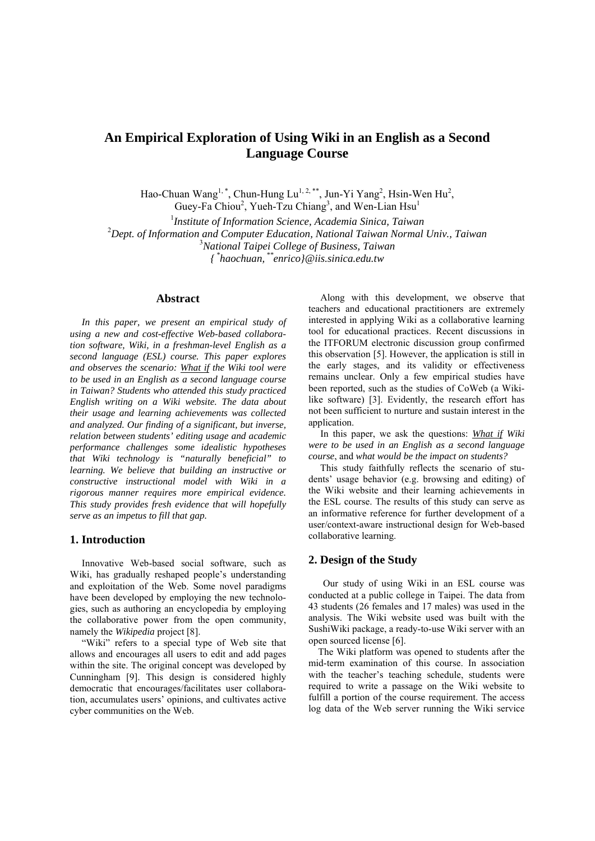# **An Empirical Exploration of Using Wiki in an English as a Second Language Course**

Hao-Chuan Wang<sup>1,\*</sup>, Chun-Hung Lu<sup>1, 2,\*\*</sup>, Jun-Yi Yang<sup>2</sup>, Hsin-Wen Hu<sup>2</sup>,

Guey-Fa Chiou<sup>2</sup>, Yueh-Tzu Chiang<sup>3</sup>, and Wen-Lian Hsu<sup>1</sup>

<sup>1</sup> Institute of Information Science, Academia Sinica, Taiwan 2 *Dept. of Information and Computer Education, National Taiwan Normal Univ., Taiwan* 3 *National Taipei College of Business, Taiwan { \*haochuan, \*\*enrico}@iis.sinica.edu.tw* 

#### **Abstract**

*In this paper, we present an empirical study of using a new and cost-effective Web-based collaboration software, Wiki, in a freshman-level English as a second language (ESL) course. This paper explores and observes the scenario: What if the Wiki tool were to be used in an English as a second language course in Taiwan? Students who attended this study practiced English writing on a Wiki website. The data about their usage and learning achievements was collected and analyzed. Our finding of a significant, but inverse, relation between students' editing usage and academic performance challenges some idealistic hypotheses that Wiki technology is "naturally beneficial" to learning. We believe that building an instructive or constructive instructional model with Wiki in a rigorous manner requires more empirical evidence. This study provides fresh evidence that will hopefully serve as an impetus to fill that gap.* 

## **1. Introduction**

Innovative Web-based social software, such as Wiki, has gradually reshaped people's understanding and exploitation of the Web. Some novel paradigms have been developed by employing the new technologies, such as authoring an encyclopedia by employing the collaborative power from the open community, namely the *Wikipedia* project [8].

"Wiki" refers to a special type of Web site that allows and encourages all users to edit and add pages within the site. The original concept was developed by Cunningham [9]. This design is considered highly democratic that encourages/facilitates user collaboration, accumulates users' opinions, and cultivates active cyber communities on the Web.

Along with this development, we observe that teachers and educational practitioners are extremely interested in applying Wiki as a collaborative learning tool for educational practices. Recent discussions in the ITFORUM electronic discussion group confirmed this observation [5]. However, the application is still in the early stages, and its validity or effectiveness remains unclear. Only a few empirical studies have been reported, such as the studies of CoWeb (a Wikilike software) [3]. Evidently, the research effort has not been sufficient to nurture and sustain interest in the application.

In this paper, we ask the questions: *What if Wiki were to be used in an English as a second language course*, and *what would be the impact on students?* 

This study faithfully reflects the scenario of students' usage behavior (e.g. browsing and editing) of the Wiki website and their learning achievements in the ESL course. The results of this study can serve as an informative reference for further development of a user/context-aware instructional design for Web-based collaborative learning.

#### **2. Design of the Study**

Our study of using Wiki in an ESL course was conducted at a public college in Taipei. The data from 43 students (26 females and 17 males) was used in the analysis. The Wiki website used was built with the SushiWiki package, a ready-to-use Wiki server with an open sourced license [6].

The Wiki platform was opened to students after the mid-term examination of this course. In association with the teacher's teaching schedule, students were required to write a passage on the Wiki website to fulfill a portion of the course requirement. The access log data of the Web server running the Wiki service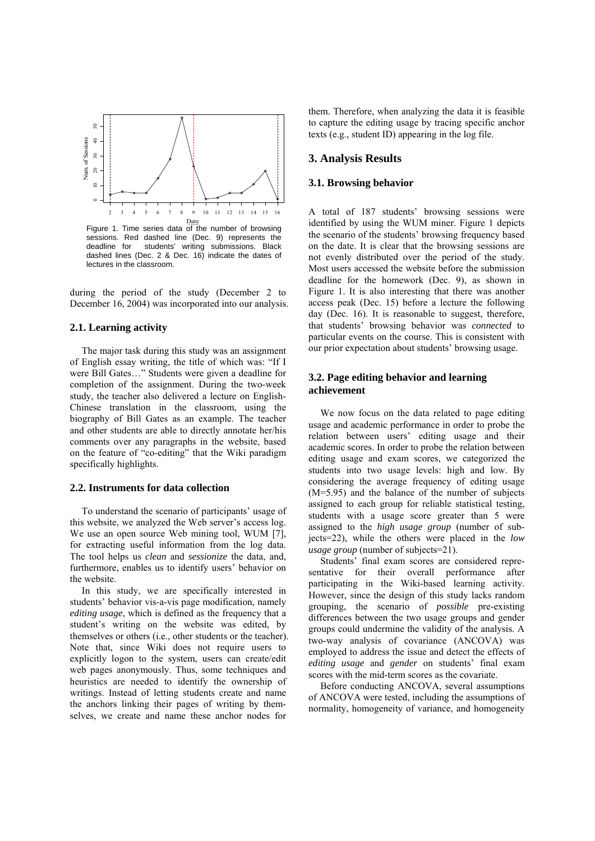

Figure 1. Time series data of the number of browsing sessions. Red dashed line (Dec. 9) represents the deadline for students' writing submissions. Black dashed lines (Dec. 2 & Dec. 16) indicate the dates of lectures in the classroom.

during the period of the study (December 2 to December 16, 2004) was incorporated into our analysis.

#### **2.1. Learning activity**

The major task during this study was an assignment of English essay writing, the title of which was: "If I were Bill Gates…" Students were given a deadline for completion of the assignment. During the two-week study, the teacher also delivered a lecture on English-Chinese translation in the classroom, using the biography of Bill Gates as an example. The teacher and other students are able to directly annotate her/his comments over any paragraphs in the website, based on the feature of "co-editing" that the Wiki paradigm specifically highlights.

## **2.2. Instruments for data collection**

To understand the scenario of participants' usage of this website, we analyzed the Web server's access log. We use an open source Web mining tool, WUM [7], for extracting useful information from the log data. The tool helps us *clean* and *sessionize* the data, and, furthermore, enables us to identify users' behavior on the website.

In this study, we are specifically interested in students' behavior vis-a-vis page modification, namely *editing usage*, which is defined as the frequency that a student's writing on the website was edited, by themselves or others (i.e., other students or the teacher). Note that, since Wiki does not require users to explicitly logon to the system, users can create/edit web pages anonymously. Thus, some techniques and heuristics are needed to identify the ownership of writings. Instead of letting students create and name the anchors linking their pages of writing by themselves, we create and name these anchor nodes for

them. Therefore, when analyzing the data it is feasible to capture the editing usage by tracing specific anchor texts (e.g., student ID) appearing in the log file.

## **3. Analysis Results**

## **3.1. Browsing behavior**

A total of 187 students' browsing sessions were identified by using the WUM miner. Figure 1 depicts the scenario of the students' browsing frequency based on the date. It is clear that the browsing sessions are not evenly distributed over the period of the study. Most users accessed the website before the submission deadline for the homework (Dec. 9), as shown in Figure 1. It is also interesting that there was another access peak (Dec. 15) before a lecture the following day (Dec. 16). It is reasonable to suggest, therefore, that students' browsing behavior was *connected* to particular events on the course. This is consistent with our prior expectation about students' browsing usage.

# **3.2. Page editing behavior and learning achievement**

We now focus on the data related to page editing usage and academic performance in order to probe the relation between users' editing usage and their academic scores. In order to probe the relation between editing usage and exam scores, we categorized the students into two usage levels: high and low. By considering the average frequency of editing usage (M=5.95) and the balance of the number of subjects assigned to each group for reliable statistical testing, students with a usage score greater than 5 were assigned to the *high usage group* (number of subjects=22), while the others were placed in the *low usage group* (number of subjects=21).

Students' final exam scores are considered representative for their overall performance after participating in the Wiki-based learning activity. However, since the design of this study lacks random grouping, the scenario of *possible* pre-existing differences between the two usage groups and gender groups could undermine the validity of the analysis. A two-way analysis of covariance (ANCOVA) was employed to address the issue and detect the effects of *editing usage* and *gender* on students' final exam scores with the mid-term scores as the covariate.

Before conducting ANCOVA, several assumptions of ANCOVA were tested, including the assumptions of normality, homogeneity of variance, and homogeneity